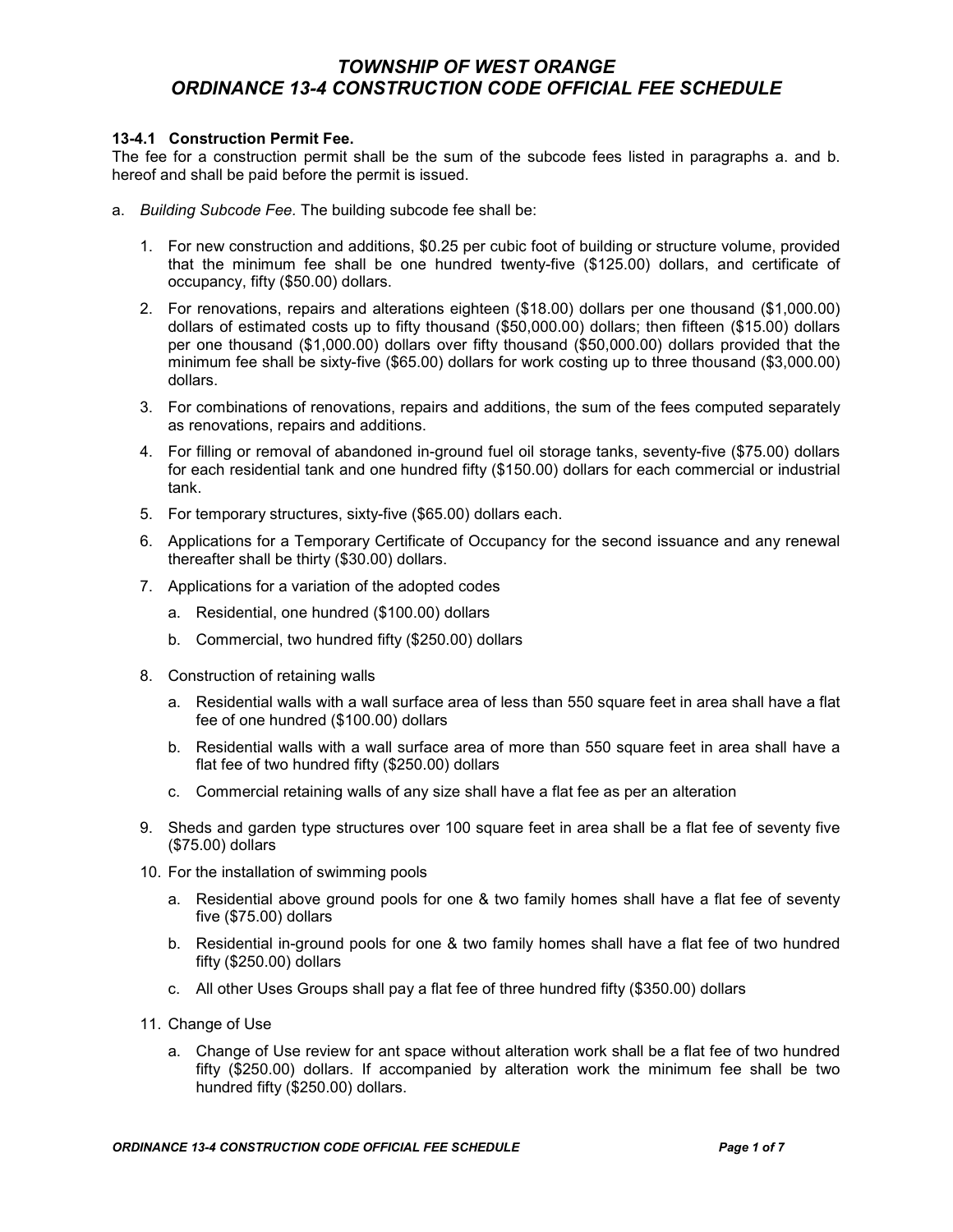### 13-4.1 Construction Permit Fee.

The fee for a construction permit shall be the sum of the subcode fees listed in paragraphs a. and b. hereof and shall be paid before the permit is issued.

- a. Building Subcode Fee. The building subcode fee shall be:
	- 1. For new construction and additions, \$0.25 per cubic foot of building or structure volume, provided that the minimum fee shall be one hundred twenty-five (\$125.00) dollars, and certificate of occupancy, fifty (\$50.00) dollars.
	- 2. For renovations, repairs and alterations eighteen (\$18.00) dollars per one thousand (\$1,000.00) dollars of estimated costs up to fifty thousand (\$50,000.00) dollars; then fifteen (\$15.00) dollars per one thousand (\$1,000.00) dollars over fifty thousand (\$50,000.00) dollars provided that the minimum fee shall be sixty-five (\$65.00) dollars for work costing up to three thousand (\$3,000.00) dollars.
	- 3. For combinations of renovations, repairs and additions, the sum of the fees computed separately as renovations, repairs and additions.
	- 4. For filling or removal of abandoned in-ground fuel oil storage tanks, seventy-five (\$75.00) dollars for each residential tank and one hundred fifty (\$150.00) dollars for each commercial or industrial tank.
	- 5. For temporary structures, sixty-five (\$65.00) dollars each.
	- 6. Applications for a Temporary Certificate of Occupancy for the second issuance and any renewal thereafter shall be thirty (\$30.00) dollars.
	- 7. Applications for a variation of the adopted codes
		- a. Residential, one hundred (\$100.00) dollars
		- b. Commercial, two hundred fifty (\$250.00) dollars
	- 8. Construction of retaining walls
		- a. Residential walls with a wall surface area of less than 550 square feet in area shall have a flat fee of one hundred (\$100.00) dollars
		- b. Residential walls with a wall surface area of more than 550 square feet in area shall have a flat fee of two hundred fifty (\$250.00) dollars
		- c. Commercial retaining walls of any size shall have a flat fee as per an alteration
	- 9. Sheds and garden type structures over 100 square feet in area shall be a flat fee of seventy five (\$75.00) dollars
	- 10. For the installation of swimming pools
		- a. Residential above ground pools for one & two family homes shall have a flat fee of seventy five (\$75.00) dollars
		- b. Residential in-ground pools for one & two family homes shall have a flat fee of two hundred fifty (\$250.00) dollars
		- c. All other Uses Groups shall pay a flat fee of three hundred fifty (\$350.00) dollars
	- 11. Change of Use
		- a. Change of Use review for ant space without alteration work shall be a flat fee of two hundred fifty (\$250.00) dollars. If accompanied by alteration work the minimum fee shall be two hundred fifty (\$250.00) dollars.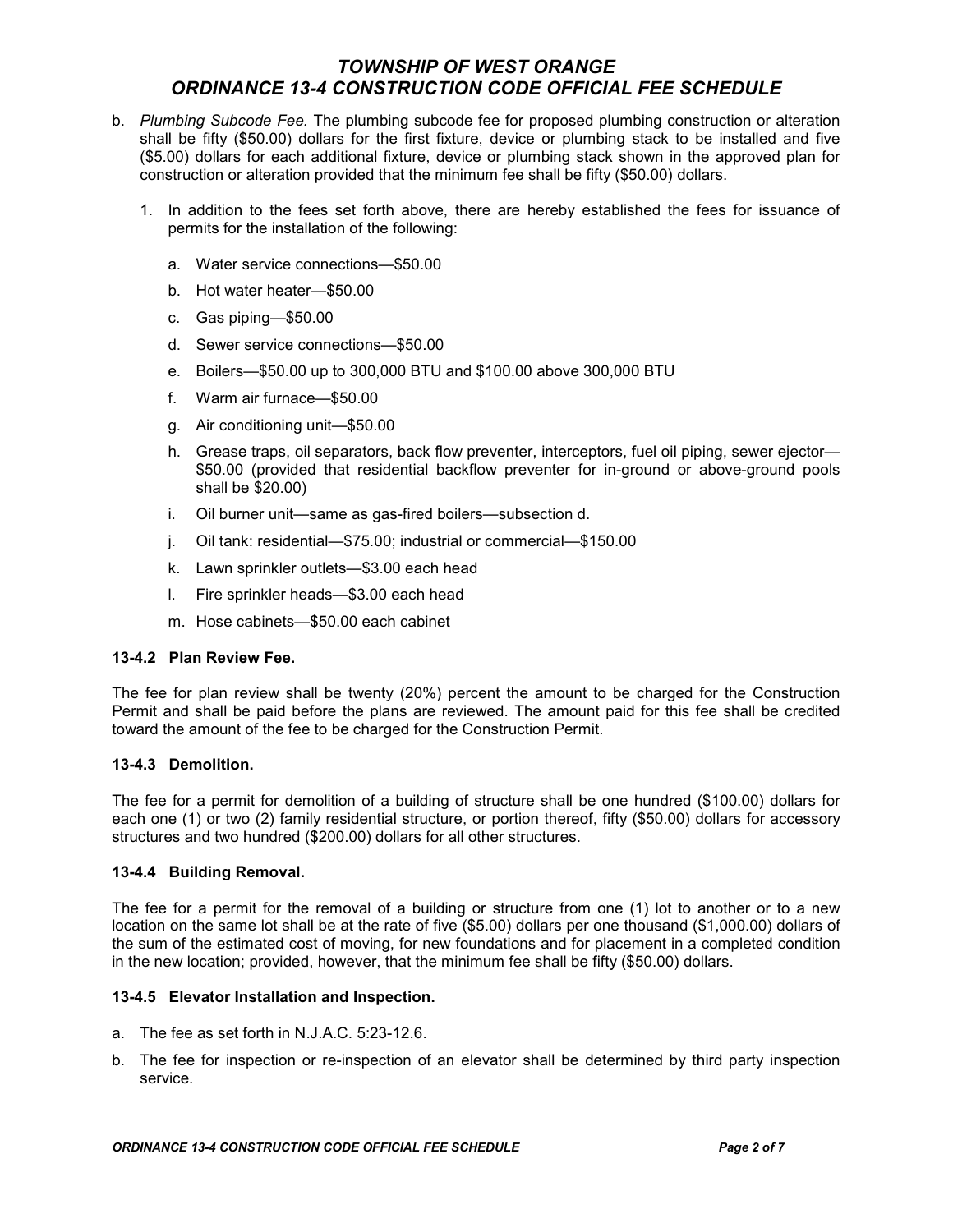- b. Plumbing Subcode Fee. The plumbing subcode fee for proposed plumbing construction or alteration shall be fifty (\$50.00) dollars for the first fixture, device or plumbing stack to be installed and five (\$5.00) dollars for each additional fixture, device or plumbing stack shown in the approved plan for construction or alteration provided that the minimum fee shall be fifty (\$50.00) dollars.
	- 1. In addition to the fees set forth above, there are hereby established the fees for issuance of permits for the installation of the following:
		- a. Water service connections—\$50.00
		- b. Hot water heater—\$50.00
		- c. Gas piping—\$50.00
		- d. Sewer service connections—\$50.00
		- e. Boilers—\$50.00 up to 300,000 BTU and \$100.00 above 300,000 BTU
		- f. Warm air furnace—\$50.00
		- g. Air conditioning unit—\$50.00
		- h. Grease traps, oil separators, back flow preventer, interceptors, fuel oil piping, sewer ejector— \$50.00 (provided that residential backflow preventer for in-ground or above-ground pools shall be \$20.00)
		- i. Oil burner unit—same as gas-fired boilers—subsection d.
		- j. Oil tank: residential—\$75.00; industrial or commercial—\$150.00
		- k. Lawn sprinkler outlets—\$3.00 each head
		- l. Fire sprinkler heads—\$3.00 each head
		- m. Hose cabinets—\$50.00 each cabinet

#### 13-4.2 Plan Review Fee.

The fee for plan review shall be twenty (20%) percent the amount to be charged for the Construction Permit and shall be paid before the plans are reviewed. The amount paid for this fee shall be credited toward the amount of the fee to be charged for the Construction Permit.

### 13-4.3 Demolition.

The fee for a permit for demolition of a building of structure shall be one hundred (\$100.00) dollars for each one (1) or two (2) family residential structure, or portion thereof, fifty (\$50.00) dollars for accessory structures and two hundred (\$200.00) dollars for all other structures.

### 13-4.4 Building Removal.

The fee for a permit for the removal of a building or structure from one (1) lot to another or to a new location on the same lot shall be at the rate of five (\$5.00) dollars per one thousand (\$1,000.00) dollars of the sum of the estimated cost of moving, for new foundations and for placement in a completed condition in the new location; provided, however, that the minimum fee shall be fifty (\$50.00) dollars.

### 13-4.5 Elevator Installation and Inspection.

- a. The fee as set forth in N.J.A.C. 5:23-12.6.
- b. The fee for inspection or re-inspection of an elevator shall be determined by third party inspection service.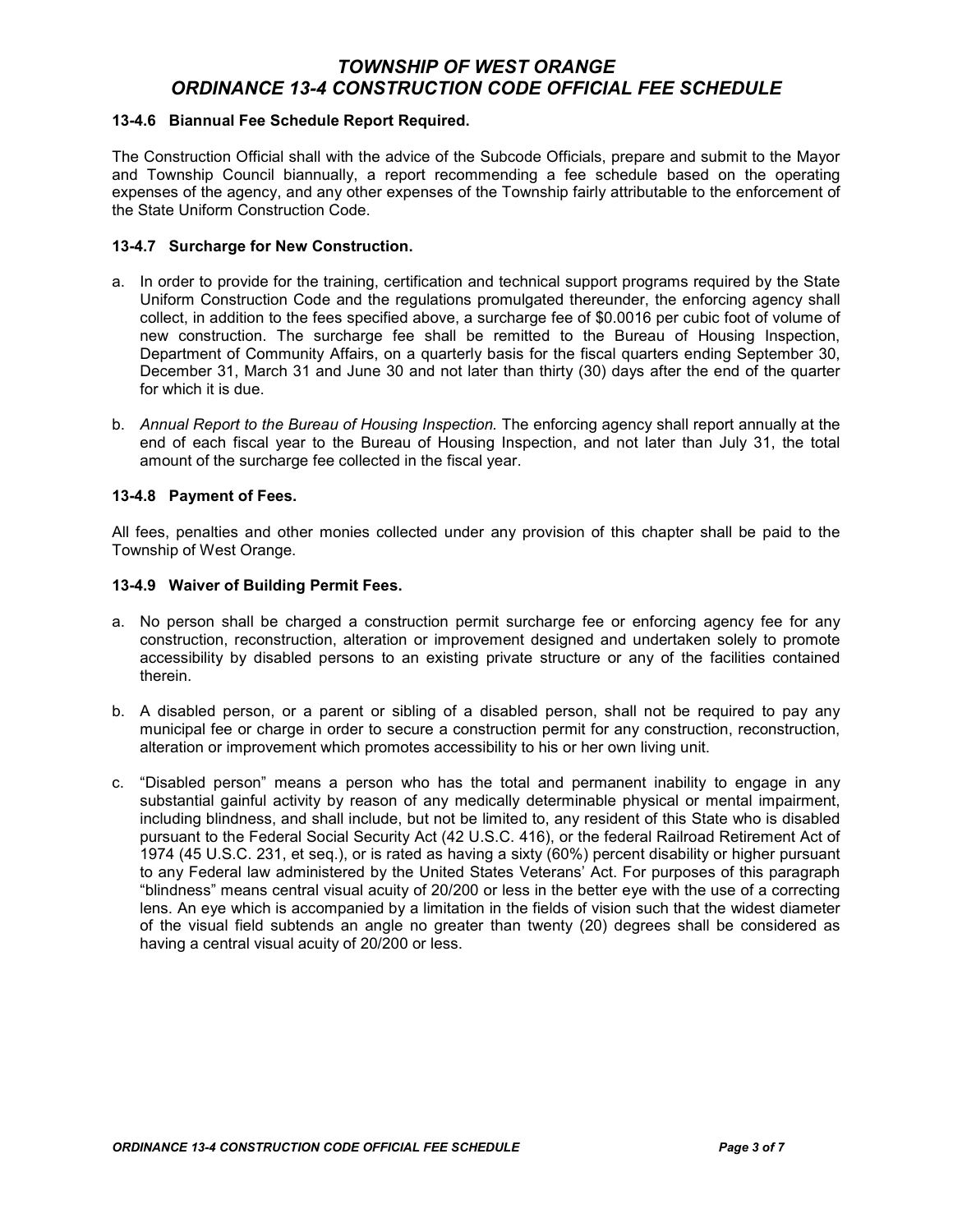### 13-4.6 Biannual Fee Schedule Report Required.

The Construction Official shall with the advice of the Subcode Officials, prepare and submit to the Mayor and Township Council biannually, a report recommending a fee schedule based on the operating expenses of the agency, and any other expenses of the Township fairly attributable to the enforcement of the State Uniform Construction Code.

### 13-4.7 Surcharge for New Construction.

- a. In order to provide for the training, certification and technical support programs required by the State Uniform Construction Code and the regulations promulgated thereunder, the enforcing agency shall collect, in addition to the fees specified above, a surcharge fee of \$0.0016 per cubic foot of volume of new construction. The surcharge fee shall be remitted to the Bureau of Housing Inspection, Department of Community Affairs, on a quarterly basis for the fiscal quarters ending September 30, December 31, March 31 and June 30 and not later than thirty (30) days after the end of the quarter for which it is due.
- b. Annual Report to the Bureau of Housing Inspection. The enforcing agency shall report annually at the end of each fiscal year to the Bureau of Housing Inspection, and not later than July 31, the total amount of the surcharge fee collected in the fiscal year.

### 13-4.8 Payment of Fees.

All fees, penalties and other monies collected under any provision of this chapter shall be paid to the Township of West Orange.

### 13-4.9 Waiver of Building Permit Fees.

- a. No person shall be charged a construction permit surcharge fee or enforcing agency fee for any construction, reconstruction, alteration or improvement designed and undertaken solely to promote accessibility by disabled persons to an existing private structure or any of the facilities contained therein.
- b. A disabled person, or a parent or sibling of a disabled person, shall not be required to pay any municipal fee or charge in order to secure a construction permit for any construction, reconstruction, alteration or improvement which promotes accessibility to his or her own living unit.
- c. "Disabled person" means a person who has the total and permanent inability to engage in any substantial gainful activity by reason of any medically determinable physical or mental impairment, including blindness, and shall include, but not be limited to, any resident of this State who is disabled pursuant to the Federal Social Security Act (42 U.S.C. 416), or the federal Railroad Retirement Act of 1974 (45 U.S.C. 231, et seq.), or is rated as having a sixty (60%) percent disability or higher pursuant to any Federal law administered by the United States Veterans' Act. For purposes of this paragraph "blindness" means central visual acuity of 20/200 or less in the better eye with the use of a correcting lens. An eye which is accompanied by a limitation in the fields of vision such that the widest diameter of the visual field subtends an angle no greater than twenty (20) degrees shall be considered as having a central visual acuity of 20/200 or less.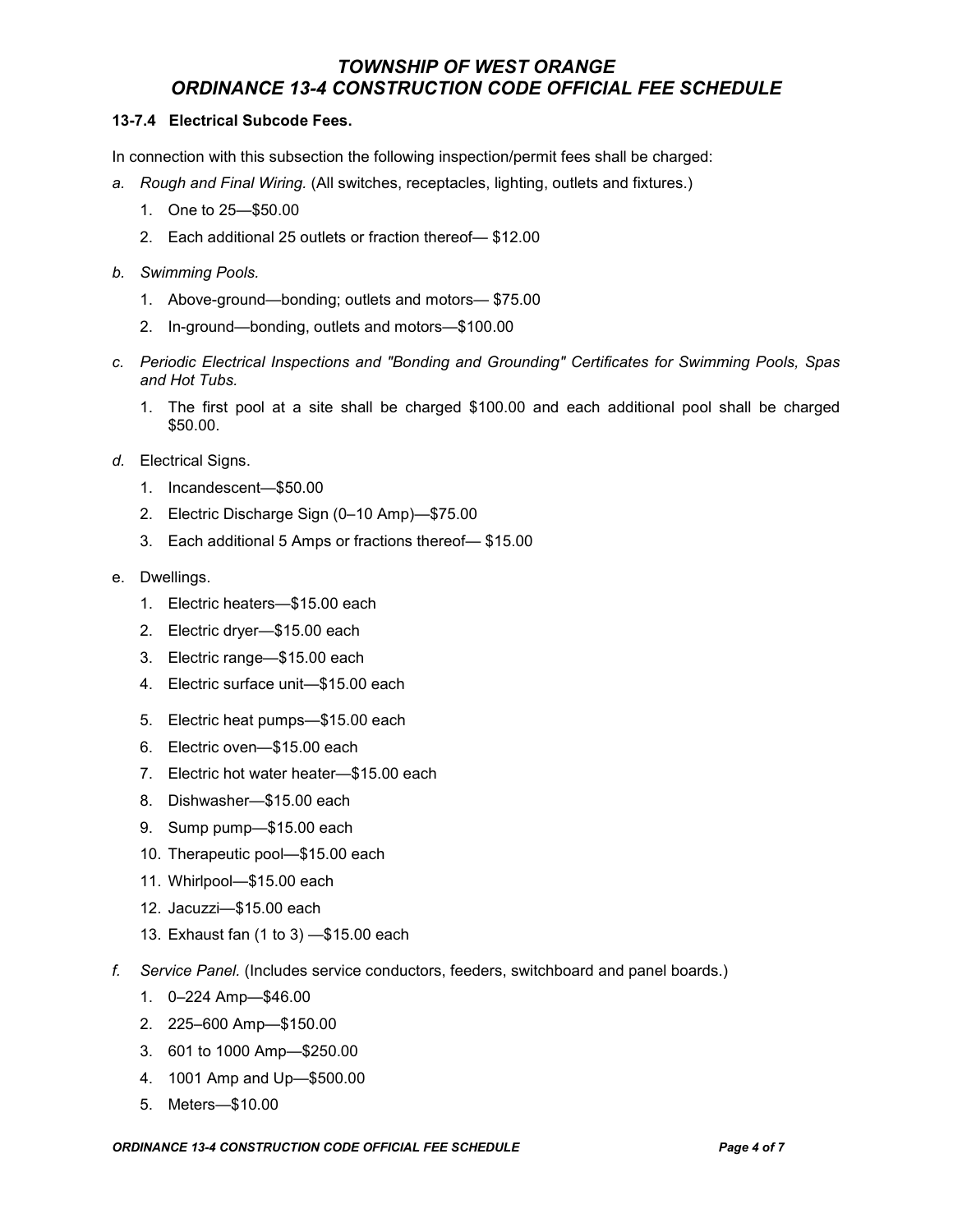### 13-7.4 Electrical Subcode Fees.

In connection with this subsection the following inspection/permit fees shall be charged:

- a. Rough and Final Wiring. (All switches, receptacles, lighting, outlets and fixtures.)
	- 1. One to 25—\$50.00
	- 2. Each additional 25 outlets or fraction thereof— \$12.00
- b. Swimming Pools.
	- 1. Above-ground—bonding; outlets and motors— \$75.00
	- 2. In-ground—bonding, outlets and motors—\$100.00
- c. Periodic Electrical Inspections and "Bonding and Grounding" Certificates for Swimming Pools, Spas and Hot Tubs.
	- 1. The first pool at a site shall be charged \$100.00 and each additional pool shall be charged \$50.00.
- d. Electrical Signs.
	- 1. Incandescent—\$50.00
	- 2. Electric Discharge Sign (0–10 Amp)—\$75.00
	- 3. Each additional 5 Amps or fractions thereof— \$15.00
- e. Dwellings.
	- 1. Electric heaters—\$15.00 each
	- 2. Electric dryer—\$15.00 each
	- 3. Electric range—\$15.00 each
	- 4. Electric surface unit—\$15.00 each
	- 5. Electric heat pumps—\$15.00 each
	- 6. Electric oven—\$15.00 each
	- 7. Electric hot water heater—\$15.00 each
	- 8. Dishwasher—\$15.00 each
	- 9. Sump pump—\$15.00 each
	- 10. Therapeutic pool—\$15.00 each
	- 11. Whirlpool—\$15.00 each
	- 12. Jacuzzi—\$15.00 each
	- 13. Exhaust fan (1 to 3) —\$15.00 each
- f. Service Panel. (Includes service conductors, feeders, switchboard and panel boards.)
	- 1. 0–224 Amp—\$46.00
	- 2. 225–600 Amp—\$150.00
	- 3. 601 to 1000 Amp—\$250.00
	- 4. 1001 Amp and Up—\$500.00
	- 5. Meters—\$10.00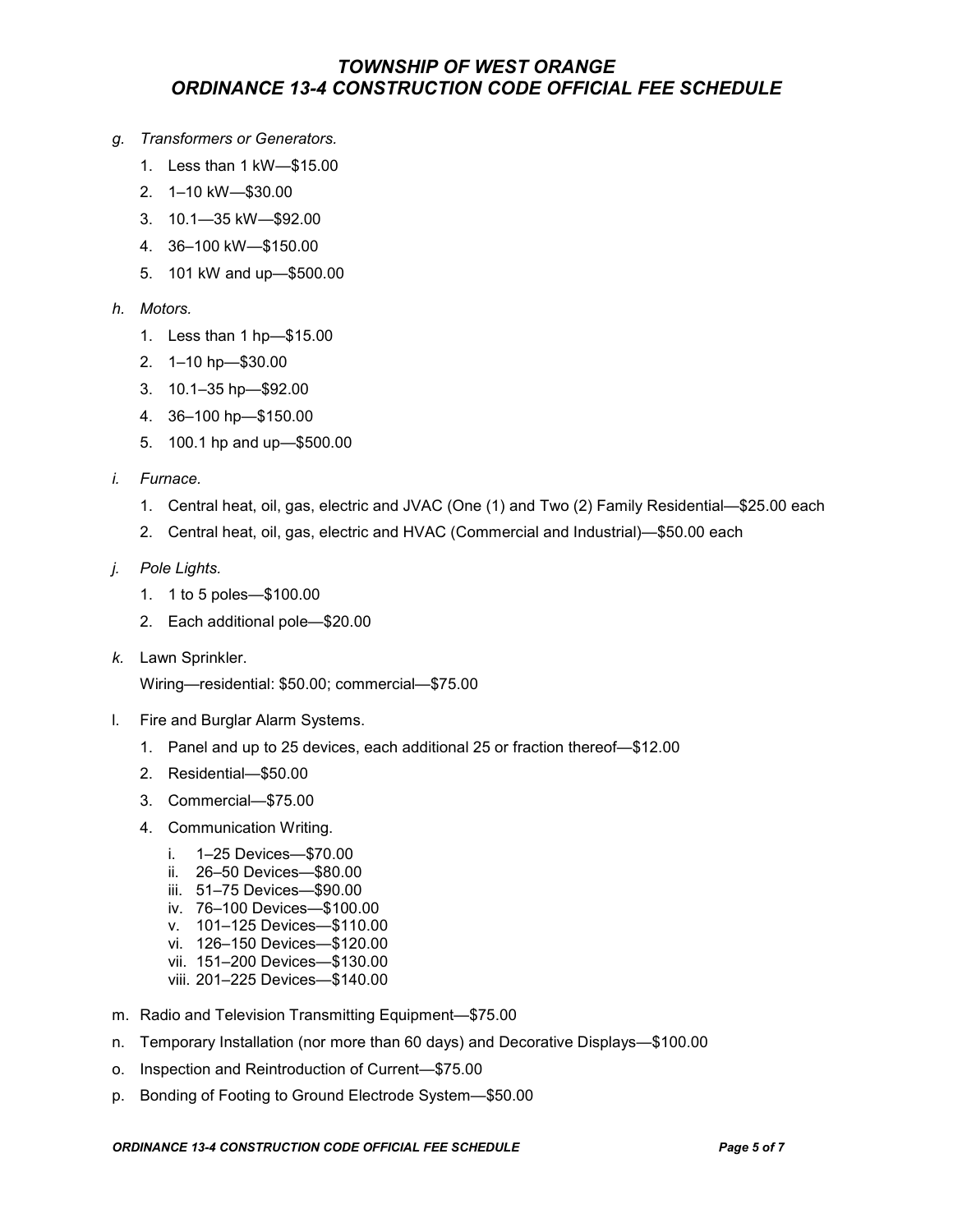- g. Transformers or Generators.
	- 1. Less than 1 kW—\$15.00
	- 2. 1–10 kW—\$30.00
	- 3. 10.1—35 kW—\$92.00
	- 4. 36–100 kW—\$150.00
	- 5. 101 kW and up—\$500.00
- h. Motors.
	- 1. Less than 1 hp—\$15.00
	- 2. 1–10 hp—\$30.00
	- 3. 10.1–35 hp—\$92.00
	- 4. 36–100 hp—\$150.00
	- 5. 100.1 hp and up—\$500.00
- i. Furnace.
	- 1. Central heat, oil, gas, electric and JVAC (One (1) and Two (2) Family Residential—\$25.00 each
	- 2. Central heat, oil, gas, electric and HVAC (Commercial and Industrial)—\$50.00 each
- j. Pole Lights.
	- 1. 1 to 5 poles—\$100.00
	- 2. Each additional pole—\$20.00
- k. Lawn Sprinkler.

Wiring—residential: \$50.00; commercial—\$75.00

- l. Fire and Burglar Alarm Systems.
	- 1. Panel and up to 25 devices, each additional 25 or fraction thereof—\$12.00
	- 2. Residential—\$50.00
	- 3. Commercial—\$75.00
	- 4. Communication Writing.
		- i. 1–25 Devices—\$70.00
		- ii. 26–50 Devices—\$80.00
		- iii. 51–75 Devices—\$90.00
		- iv. 76–100 Devices—\$100.00
		- v. 101–125 Devices—\$110.00
		- vi. 126–150 Devices—\$120.00
		- vii. 151–200 Devices—\$130.00
		- viii. 201–225 Devices—\$140.00
- m. Radio and Television Transmitting Equipment—\$75.00
- n. Temporary Installation (nor more than 60 days) and Decorative Displays—\$100.00
- o. Inspection and Reintroduction of Current—\$75.00
- p. Bonding of Footing to Ground Electrode System—\$50.00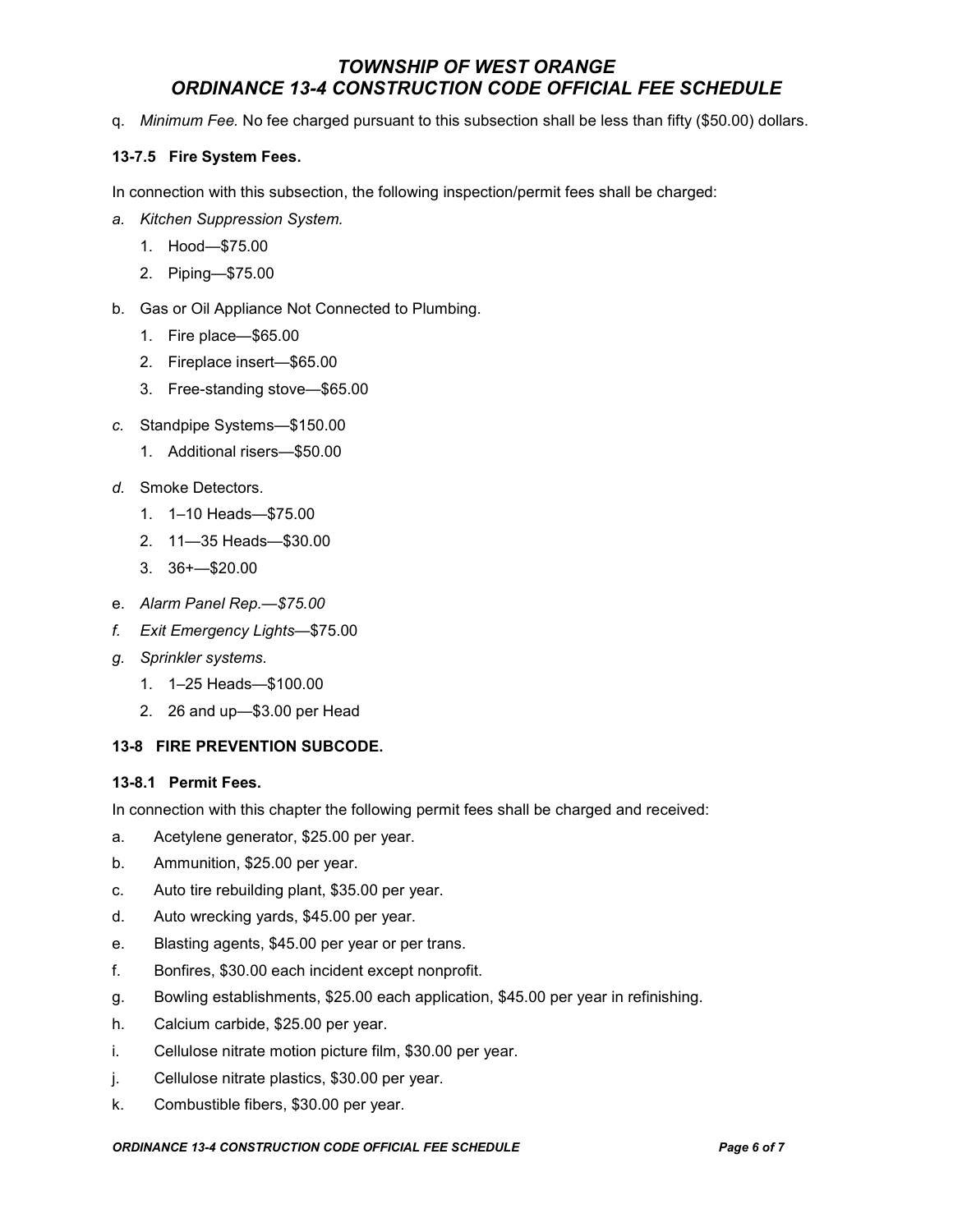q. Minimum Fee. No fee charged pursuant to this subsection shall be less than fifty (\$50.00) dollars.

### 13-7.5 Fire System Fees.

In connection with this subsection, the following inspection/permit fees shall be charged:

- a. Kitchen Suppression System.
	- 1. Hood—\$75.00
	- 2. Piping—\$75.00
- b. Gas or Oil Appliance Not Connected to Plumbing.
	- 1. Fire place—\$65.00
	- 2. Fireplace insert—\$65.00
	- 3. Free-standing stove—\$65.00
- c. Standpipe Systems—\$150.00
	- 1. Additional risers—\$50.00
- d. Smoke Detectors.
	- 1. 1–10 Heads—\$75.00
	- 2. 11—35 Heads—\$30.00
	- 3. 36+—\$20.00
- e. Alarm Panel Rep.—\$75.00
- f. Exit Emergency Lights—\$75.00
- g. Sprinkler systems.
	- 1. 1–25 Heads—\$100.00
	- 2. 26 and up—\$3.00 per Head

### 13-8 FIRE PREVENTION SUBCODE.

### 13-8.1 Permit Fees.

In connection with this chapter the following permit fees shall be charged and received:

- a. Acetylene generator, \$25.00 per year.
- b. Ammunition, \$25.00 per year.
- c. Auto tire rebuilding plant, \$35.00 per year.
- d. Auto wrecking yards, \$45.00 per year.
- e. Blasting agents, \$45.00 per year or per trans.
- f. Bonfires, \$30.00 each incident except nonprofit.
- g. Bowling establishments, \$25.00 each application, \$45.00 per year in refinishing.
- h. Calcium carbide, \$25.00 per year.
- i. Cellulose nitrate motion picture film, \$30.00 per year.
- j. Cellulose nitrate plastics, \$30.00 per year.
- k. Combustible fibers, \$30.00 per year.

#### ORDINANCE 13-4 CONSTRUCTION CODE OFFICIAL FEE SCHEDULE **Fig. 1** Page 6 of 7